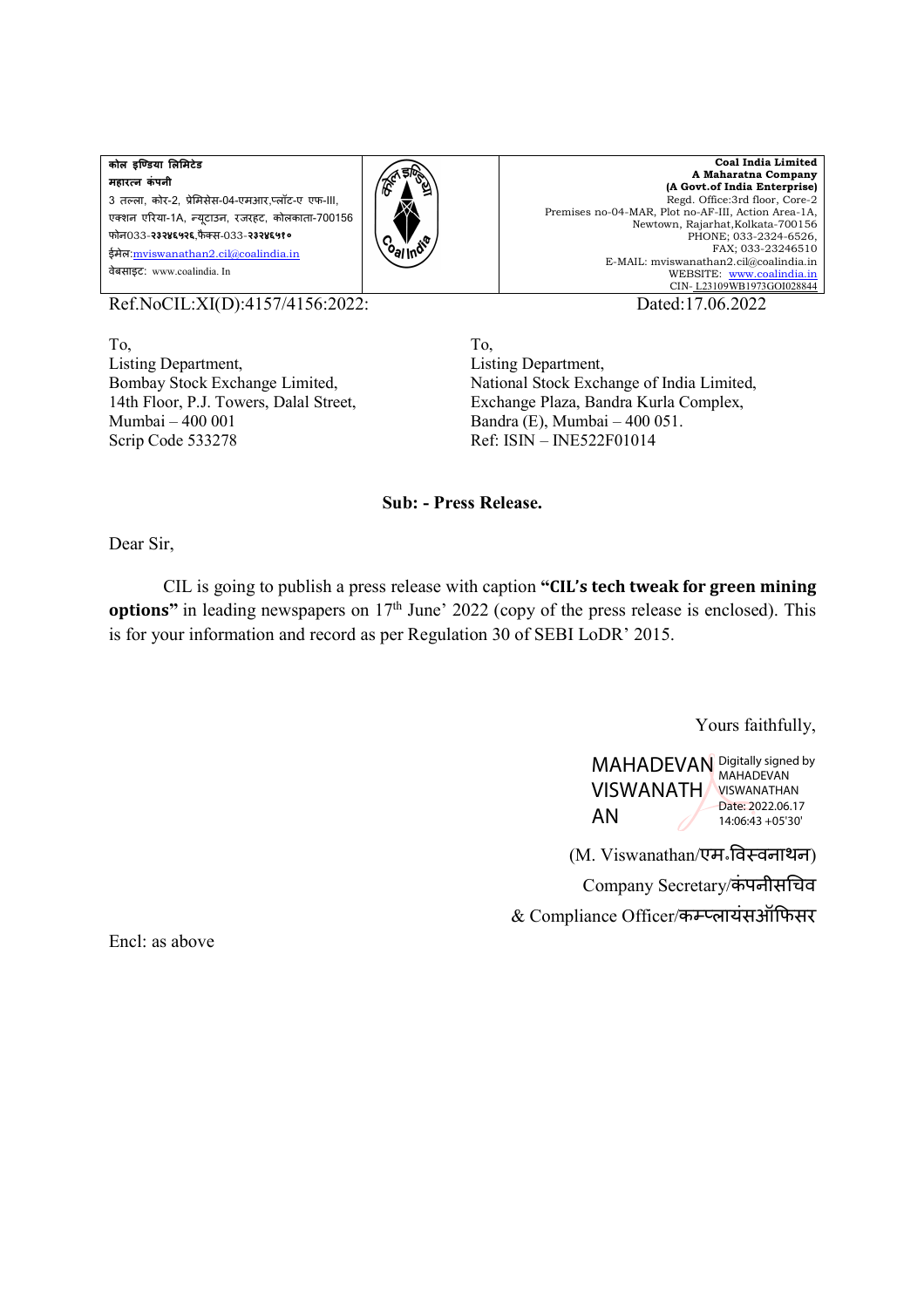**कोल इिडया लमटेड महारन कं पनी** 3 तल्ला, कोर-2, प्रेमिसेस-04-एमआर,प्लॉट-ए एफ-III, एशन एरया-1A, "यूटाउन, रजरहट, कोलकाता-700156 फोन033-**२३२४६५२६**,फै स-033-**२३२४६५१०** ईमेल:mviswanathan2.cil@coalindia.in वेबसाइट: www.coalindia. In



**Coal India Limited A Maharatna Company (A Govt.of India Enterprise)** Regd. Office:3rd floor, Core-2 Premises no-04-MAR, Plot no-AF-III, Action Area-1A, Newtown, Rajarhat,Kolkata-700156 PHONE; 033-2324-6526, FAX; 033-23246510 E-MAIL: mviswanathan2.cil@coalindia.in WEBSITE: www.coalindia.in CIN- L23109WB1973GOI028844

Ref.NoCIL:XI(D):4157/4156:2022: Dated:17.06.2022

To, Listing Department, Bombay Stock Exchange Limited, 14th Floor, P.J. Towers, Dalal Street, Mumbai – 400 001 Scrip Code 533278

To, Listing Department, National Stock Exchange of India Limited, Exchange Plaza, Bandra Kurla Complex, Bandra (E), Mumbai – 400 051. Ref: ISIN – INE522F01014

## **Sub: - Press Release.**

Dear Sir,

 CIL is going to publish a press release with caption **"CIL's tech tweak for green mining options"** in leading newspapers on  $17<sup>th</sup>$  June' 2022 (copy of the press release is enclosed). This is for your information and record as per Regulation 30 of SEBI LoDR' 2015.

Yours faithfully,

MAHADEVAN Digitally signed by VISWANATH VISWANATHAN AN MAHADEVAN Date: 2022.06.17 14:06:43 +05'30'

 (M. Viswanathan/एम॰1व2वनाथन) Company Secretary/कंपनीसचिव & Compliance Officer/कम्प्लायंसऑफिसर

Encl: as above